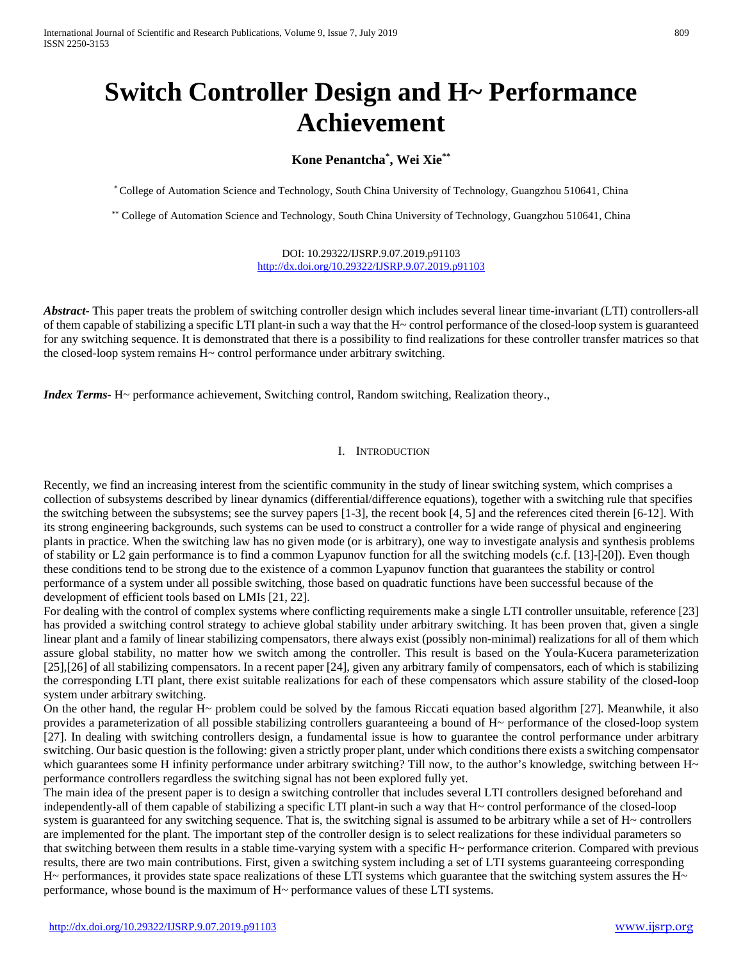# **Switch Controller Design and H~ Performance Achievement**

## **Kone Penantcha\* , Wei Xie\*\***

\* College of Automation Science and Technology, South China University of Technology, Guangzhou 510641, China

\*\* College of Automation Science and Technology, South China University of Technology, Guangzhou 510641, China

DOI: 10.29322/IJSRP.9.07.2019.p91103 <http://dx.doi.org/10.29322/IJSRP.9.07.2019.p91103>

*Abstract***-** This paper treats the problem of switching controller design which includes several linear time-invariant (LTI) controllers-all of them capable of stabilizing a specific LTI plant-in such a way that the H~ control performance of the closed-loop system is guaranteed for any switching sequence. It is demonstrated that there is a possibility to find realizations for these controller transfer matrices so that the closed-loop system remains H~ control performance under arbitrary switching.

*Index Terms*- H~ performance achievement, Switching control, Random switching, Realization theory.,

#### I. INTRODUCTION

Recently, we find an increasing interest from the scientific community in the study of linear switching system, which comprises a collection of subsystems described by linear dynamics (differential/difference equations), together with a switching rule that specifies the switching between the subsystems; see the survey papers [1-3], the recent book [4, 5] and the references cited therein [6-12]. With its strong engineering backgrounds, such systems can be used to construct a controller for a wide range of physical and engineering plants in practice. When the switching law has no given mode (or is arbitrary), one way to investigate analysis and synthesis problems of stability or L2 gain performance is to find a common Lyapunov function for all the switching models (c.f. [13]-[20]). Even though these conditions tend to be strong due to the existence of a common Lyapunov function that guarantees the stability or control performance of a system under all possible switching, those based on quadratic functions have been successful because of the development of efficient tools based on LMIs [21, 22].

For dealing with the control of complex systems where conflicting requirements make a single LTI controller unsuitable, reference [23] has provided a switching control strategy to achieve global stability under arbitrary switching. It has been proven that, given a single linear plant and a family of linear stabilizing compensators, there always exist (possibly non-minimal) realizations for all of them which assure global stability, no matter how we switch among the controller. This result is based on the Youla-Kucera parameterization [25],[26] of all stabilizing compensators. In a recent paper [24], given any arbitrary family of compensators, each of which is stabilizing the corresponding LTI plant, there exist suitable realizations for each of these compensators which assure stability of the closed-loop system under arbitrary switching.

On the other hand, the regular H~ problem could be solved by the famous Riccati equation based algorithm [27]. Meanwhile, it also provides a parameterization of all possible stabilizing controllers guaranteeing a bound of H~ performance of the closed-loop system [27]. In dealing with switching controllers design, a fundamental issue is how to guarantee the control performance under arbitrary switching. Our basic question is the following: given a strictly proper plant, under which conditions there exists a switching compensator which guarantees some H infinity performance under arbitrary switching? Till now, to the author's knowledge, switching between  $H<sub>\sim</sub>$ performance controllers regardless the switching signal has not been explored fully yet.

The main idea of the present paper is to design a switching controller that includes several LTI controllers designed beforehand and independently-all of them capable of stabilizing a specific LTI plant-in such a way that H~ control performance of the closed-loop system is guaranteed for any switching sequence. That is, the switching signal is assumed to be arbitrary while a set of H~ controllers are implemented for the plant. The important step of the controller design is to select realizations for these individual parameters so that switching between them results in a stable time-varying system with a specific H~ performance criterion. Compared with previous results, there are two main contributions. First, given a switching system including a set of LTI systems guaranteeing corresponding  $H<sub>\sim</sub>$  performances, it provides state space realizations of these LTI systems which guarantee that the switching system assures the  $H<sub>\sim</sub>$ performance, whose bound is the maximum of  $H<sub>\sim</sub>$  performance values of these LTI systems.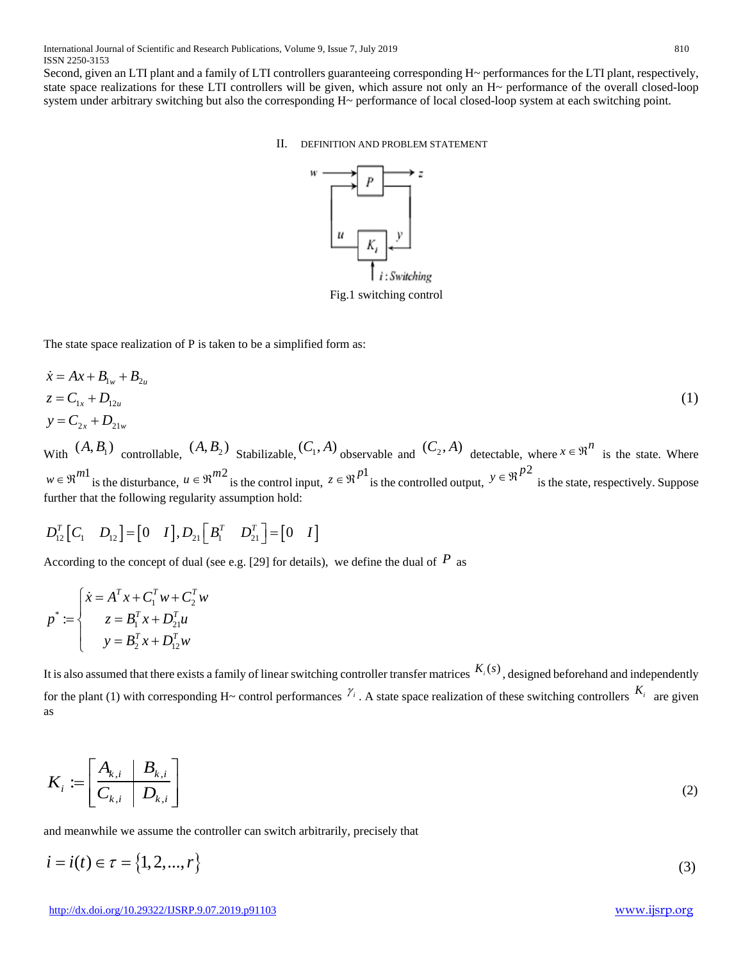Second, given an LTI plant and a family of LTI controllers guaranteeing corresponding H~ performances for the LTI plant, respectively, state space realizations for these LTI controllers will be given, which assure not only an H~ performance of the overall closed-loop system under arbitrary switching but also the corresponding H~ performance of local closed-loop system at each switching point.

II. DEFINITION AND PROBLEM STATEMENT



Fig.1 switching control

The state space realization of P is taken to be a simplified form as:

$$
\begin{aligned}\n\dot{x} &= Ax + B_{1w} + B_{2u} \\
z &= C_{1x} + D_{12u} \\
y &= C_{2x} + D_{21w}\n\end{aligned} \tag{1}
$$

With  $(A, B_1)$  controllable,  $(A, B_2)$  Stabilizable,  $(C_1, A)$  observable and  $(C_2, A)$  detectable, where  $x \in \mathbb{R}^n$  is the state. Where  $w \in \mathbb{R}^{m}$  is the disturbance,  $u \in \mathbb{R}^{m}$  is the control input,  $z \in \mathbb{R}^{p}$  is the controlled output,  $y \in \mathbb{R}^{p}$  is the state, respectively. Suppose further that the following regularity assumption hold:

$$
D_{12}^T[C_1 \quad D_{12}] = [0 \quad I], D_{21}[B_1^T \quad D_{21}^T] = [0 \quad I]
$$

According to the concept of dual (see e.g. [29] for details), we define the dual of  $P$  as

$$
p^* := \begin{cases} \n\dot{x} = A^T x + C_1^T w + C_2^T w \\
z = B_1^T x + D_{21}^T u \\
y = B_2^T x + D_{12}^T w\n\end{cases}
$$

It is also assumed that there exists a family of linear switching controller transfer matrices  $K_i(s)$ , designed beforehand and independently for the plant (1) with corresponding H~ control performances  $\gamma_i$ . A state space realization of these switching controllers  $K_i$  are given as

$$
K_i := \left[ \begin{array}{c|c} A_{k,i} & B_{k,i} \\ \hline C_{k,i} & D_{k,i} \end{array} \right] \tag{2}
$$

and meanwhile we assume the controller can switch arbitrarily, precisely that

$$
i = i(t) \in \tau = \{1, 2, ..., r\}
$$
\n(3)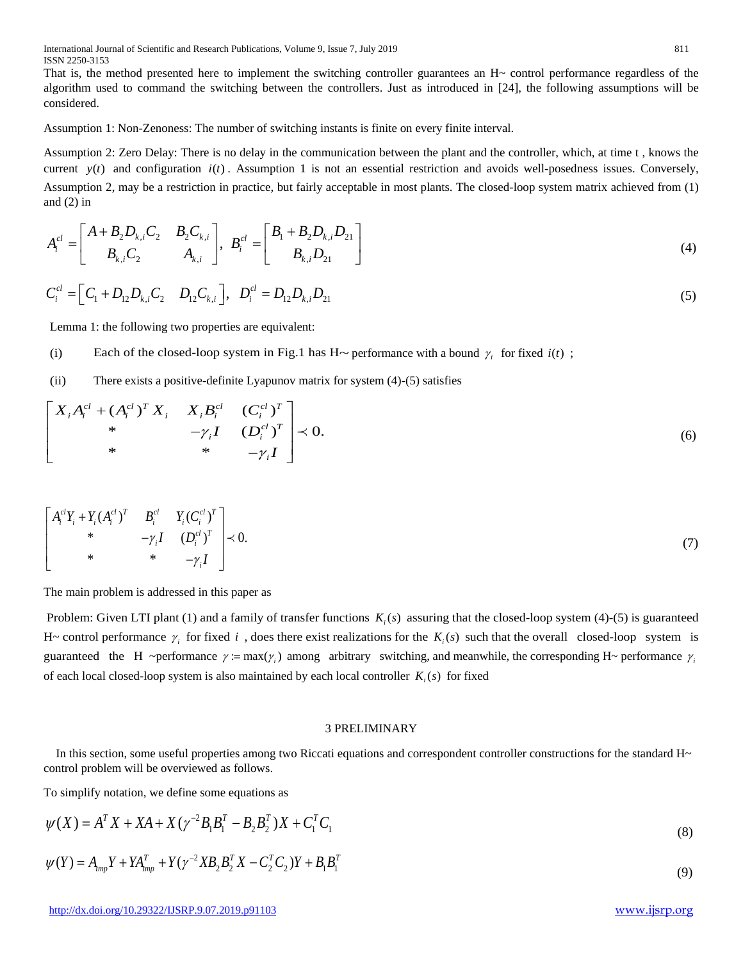That is, the method presented here to implement the switching controller guarantees an H~ control performance regardless of the algorithm used to command the switching between the controllers. Just as introduced in [24], the following assumptions will be considered.

Assumption 1: Non-Zenoness: The number of switching instants is finite on every finite interval.

Assumption 2: Zero Delay: There is no delay in the communication between the plant and the controller, which, at time t , knows the current  $y(t)$  and configuration  $i(t)$ . Assumption 1 is not an essential restriction and avoids well-posedness issues. Conversely, Assumption 2, may be a restriction in practice, but fairly acceptable in most plants. The closed-loop system matrix achieved from (1) and  $(2)$  in

$$
A_i^{cl} = \begin{bmatrix} A + B_2 D_{k,i} C_2 & B_2 C_{k,i} \\ B_{k,i} C_2 & A_{k,i} \end{bmatrix}, B_i^{cl} = \begin{bmatrix} B_1 + B_2 D_{k,i} D_{21} \\ B_{k,i} D_{21} \end{bmatrix}
$$
(4)

$$
C_i^{cl} = \left[C_1 + D_{12}D_{k,i}C_2 \quad D_{12}C_{k,i}\right], \quad D_i^{cl} = D_{12}D_{k,i}D_{21} \tag{5}
$$

Lemma 1: the following two properties are equivalent:

(i) Each of the closed-loop system in Fig.1 has H~ performance with a bound  $\gamma_i$  for fixed  $i(t)$ ;

(ii) There exists a positive-definite Lyapunov matrix for system (4)-(5) satisfies

$$
\begin{bmatrix}\nX_i A_i^{cl} + (A_i^{cl})^T X_i & X_i B_i^{cl} & (C_i^{cl})^T \\
\ast & -\gamma_i I & (D_i^{cl})^T \\
\ast & \ast & -\gamma_i I\n\end{bmatrix} \prec 0.
$$
\n(6)

$$
\begin{bmatrix}\nA_i^{cl}Y_i + Y_i (A_i^{cl})^T & B_i^{cl} & Y_i (C_i^{cl})^T \\
\ast & -\gamma_i I & (D_i^{cl})^T \\
\ast & \ast & -\gamma_i I\n\end{bmatrix} \prec 0.
$$
\n
$$
(7)
$$

The main problem is addressed in this paper as

Problem: Given LTI plant (1) and a family of transfer functions  $K_i(s)$  assuring that the closed-loop system (4)-(5) is guaranteed H~ control performance  $\gamma_i$  for fixed *i*, does there exist realizations for the  $K_i(s)$  such that the overall closed-loop system is guaranteed the H ~performance  $\gamma := \max(\gamma_i)$  among arbitrary switching, and meanwhile, the corresponding H~ performance  $\gamma_i$ of each local closed-loop system is also maintained by each local controller  $K_s(s)$  for fixed

### 3 PRELIMINARY

In this section, some useful properties among two Riccati equations and correspondent controller constructions for the standard H~ control problem will be overviewed as follows.

To simplify notation, we define some equations as

$$
\psi(X) = A^T X + XA + X(\gamma^{-2} B_1 B_1^T - B_2 B_2^T) X + C_1^T C_1
$$
\n(8)

$$
\psi(Y) = A_{\text{tmp}}Y + YA_{\text{tmp}}^T + Y(\gamma^{-2}XB_2B_2^TX - C_2^TC_2)Y + B_1B_1^T
$$
\n(9)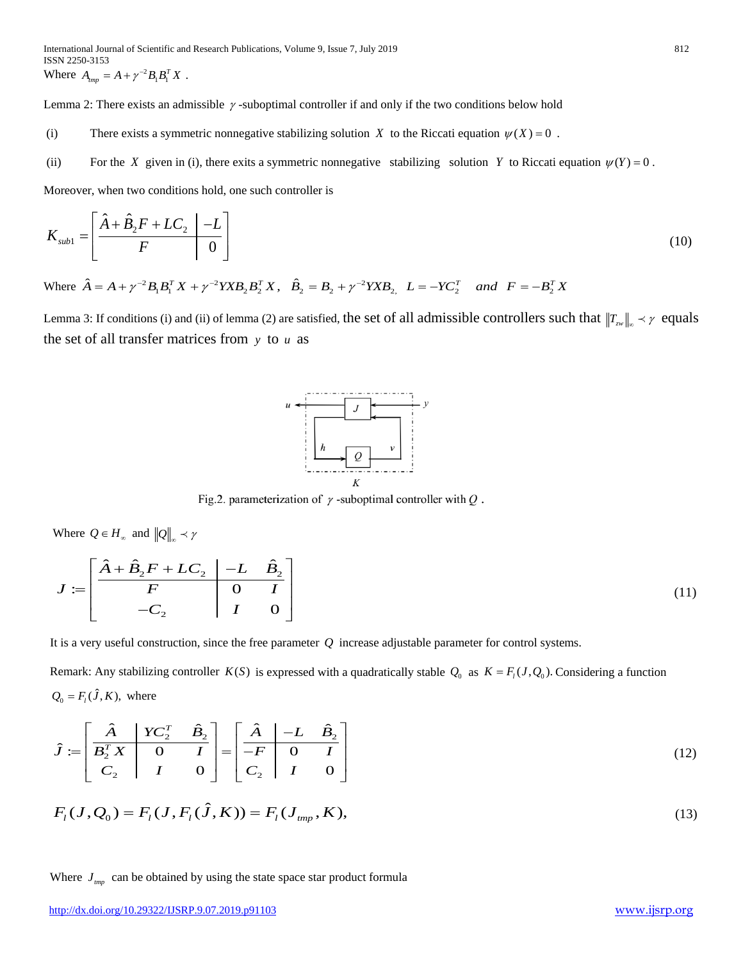Lemma 2: There exists an admissible <sup>γ</sup> -suboptimal controller if and only if the two conditions below hold

- (i) There exists a symmetric nonnegative stabilizing solution *X* to the Riccati equation  $\psi(X) = 0$ .
- (ii) For the *X* given in (i), there exits a symmetric nonnegative stabilizing solution *Y* to Riccati equation  $\psi(Y) = 0$ .

Moreover, when two conditions hold, one such controller is

$$
K_{\text{sub1}} = \left[ \frac{\hat{A} + \hat{B}_2 F + LC_2}{F} \right] \tag{10}
$$

Where  $\hat{A} = A + \gamma^{-2} B_1 B_1^T X + \gamma^{-2} Y X B_2 B_2^T X$ ,  $\hat{B}_2 = B_2 + \gamma^{-2} Y X B_2$ ,  $L = -Y C_2^T$  and  $F = -B_2^T X$ 

Lemma 3: If conditions (i) and (ii) of lemma (2) are satisfied, the set of all admissible controllers such that  $||T_{\text{Zw}}||_{\infty} \lt \gamma$  equals the set of all transfer matrices from *y* to *u* as



Fig.2. parameterization of  $\gamma$ -suboptimal controller with  $Q$ .

Where  $Q \in H_{\infty}$  and  $||Q||_{\infty} \prec \gamma$ 

$$
J := \begin{bmatrix} \hat{A} + \hat{B}_2 F + LC_2 & -L & \hat{B}_2 \\ \hline F & 0 & I \\ -C_2 & I & 0 \end{bmatrix}
$$
 (11)

It is a very useful construction, since the free parameter *Q* increase adjustable parameter for control systems.

Remark: Any stabilizing controller  $K(S)$  is expressed with a quadratically stable  $Q_0$  as  $K = F_i(J, Q_0)$ . Considering a function  $Q_0 = F_l(\hat{J}, K)$ , where

$$
\hat{J} := \begin{bmatrix} \hat{A} & YC_2^T & \hat{B}_2 \\ \overline{B}_2^T X & 0 & I \\ C_2 & I & 0 \end{bmatrix} = \begin{bmatrix} \hat{A} & -L & \hat{B}_2 \\ \overline{-F} & 0 & I \\ C_2 & I & 0 \end{bmatrix}
$$
(12)

$$
F_l(J, Q_0) = F_l(J, F_l(\hat{J}, K)) = F_l(J_{\text{tmp}}, K),
$$
\n(13)

# Where  $J_{\text{imp}}$  can be obtained by using the state space star product formula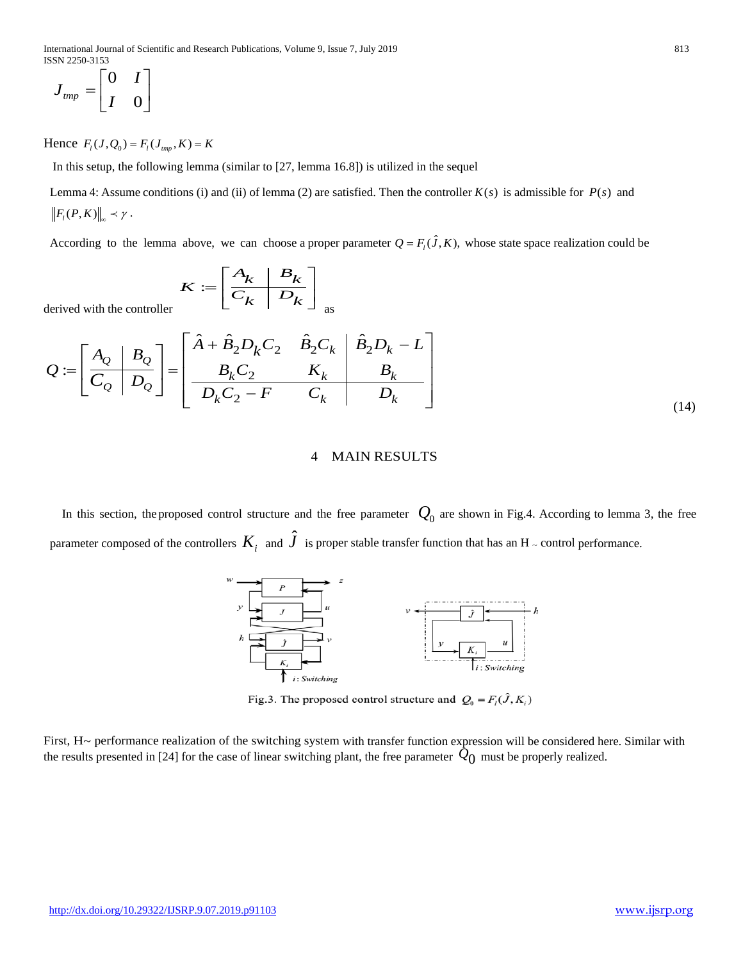$$
J_{\text{tmp}} = \begin{bmatrix} 0 & I \\ I & 0 \end{bmatrix}
$$

Hence  $F_l(J, Q_0) = F_l(J_{lmp}, K) = K$ 

In this setup, the following lemma (similar to [27, lemma 16.8]) is utilized in the sequel

Lemma 4: Assume conditions (i) and (ii) of lemma (2) are satisfied. Then the controller  $K(s)$  is admissible for  $P(s)$  and  $\left\|F_{l}(P,K)\right\|_{\infty} \prec \gamma$ .

According to the lemma above, we can choose a proper parameter  $Q = F_i(\hat{J}, K)$ , whose state space realization could be

$$
K := \left[ \begin{array}{c|c} A_k & B_k \\ \hline C_k & D_k \end{array} \right]_{\rm as}
$$

derived with the controller

$$
Q := \left[\begin{array}{c|c}\nA_Q & B_Q \\
\hline\nC_Q & D_Q\n\end{array}\right] = \left[\begin{array}{cc|c}\n\hat{A} + \hat{B}_2 D_k C_2 & \hat{B}_2 C_k & \hat{B}_2 D_k - L \\
B_k C_2 & K_k & B_k \\
\hline\nD_k C_2 - F & C_k & D_k\n\end{array}\right]
$$
\n(14)

## 4 MAIN RESULTS

In this section, the proposed control structure and the free parameter  $Q_0$  are shown in Fig.4. According to lemma 3, the free parameter composed of the controllers  $K_i^+$  and  $\hat J^-$  is proper stable transfer function that has an H  $_-$  control performance.



Fig.3. The proposed control structure and  $Q_0 = F_l(\hat{J}, K_i)$ 

First, H~ performance realization of the switching system with transfer function expression will be considered here. Similar with the results presented in [24] for the case of linear switching plant, the free parameter  $\hat{Q}_0$  must be properly realized.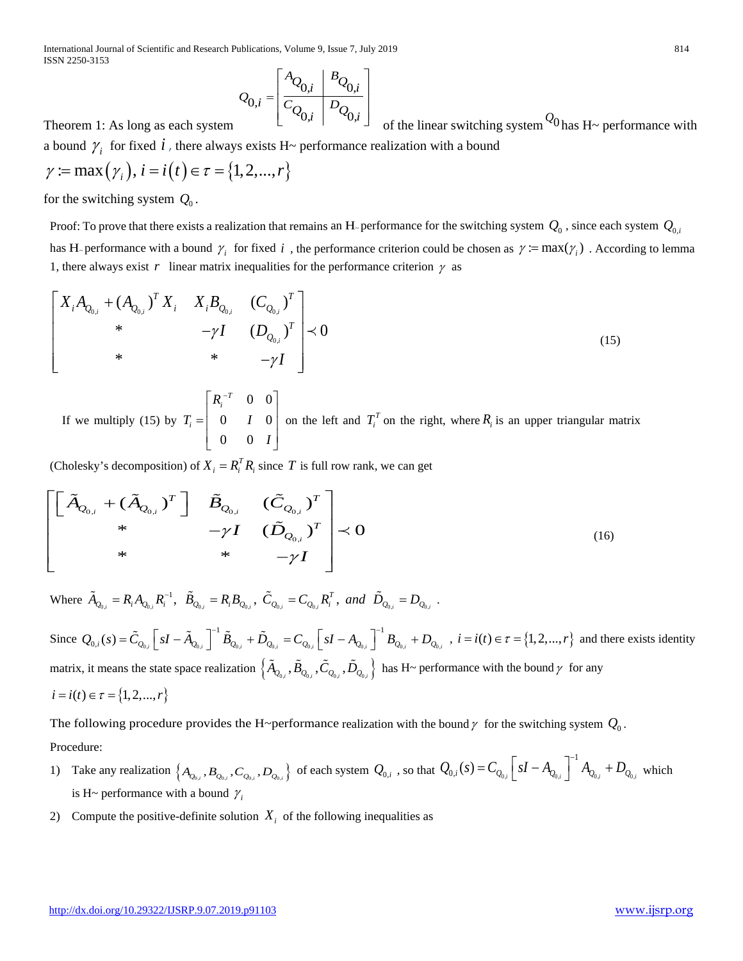International Journal of Scientific and Research Publications, Volume 9, Issue 7, July 2019 814 ISSN 2250-3153

$$
\mathcal{Q}_{0,i} = \left[ \begin{array}{c|c} A_{\mathcal{Q}_{0,i}} & B_{\mathcal{Q}_{0,i}} \\ \hline C_{\mathcal{Q}_{0,i}} & D_{\mathcal{Q}_{0,i}} \\ \end{array} \right]
$$

Theorem 1: As long as each system

of the linear switching system  $\mathcal{Q}_0$  has H~ performance with

a bound  $\gamma_i$  for fixed *i*, there always exists H~ performance realization with a bound

$$
\gamma := \max(\gamma_i), i = i(t) \in \tau = \{1, 2, ..., r\}
$$

for the switching system  $Q_0$ .

Proof: To prove that there exists a realization that remains an H<sub>r</sub> performance for the switching system  $Q_0$ , since each system  $Q_{0,i}$ has H<sub>r</sub> performance with a bound  $\gamma_i$  for fixed *i*, the performance criterion could be chosen as  $\gamma := \max(\gamma_i)$ . According to lemma 1, there always exist *r* linear matrix inequalities for the performance criterion  $\gamma$  as

$$
\begin{bmatrix}\nX_i A_{Q_{0,i}} + (A_{Q_{0,i}})^T X_i & X_i B_{Q_{0,i}} & (C_{Q_{0,i}})^T \\
* & -\gamma I & (D_{Q_{0,i}})^T \\
* & * & -\gamma I\n\end{bmatrix} \n\prec 0
$$
\n(15)

If we multiply (15) by 0 0  $0$   $I$   $0$ 0 0 *T i i R*  $T_i = \begin{vmatrix} 0 & I \end{vmatrix}$ *I*  $\begin{bmatrix} R_i^{-T} & 0 & 0 \end{bmatrix}$  $=\begin{vmatrix} 1 & 0 \\ 0 & I & 0 \end{vmatrix}$  $\left[\begin{array}{ccc} 0 & 0 & I \end{array}\right]$ on the left and  $T_i^T$  on the right, where  $R_i$  is an upper triangular matrix

(Cholesky's decomposition) of  $X_i = R_i^T R_i$  since *T* is full row rank, we can get

$$
\begin{bmatrix}\n\left[\tilde{A}_{Q_{0,i}} + (\tilde{A}_{Q_{0,i}})^T\right] & \tilde{B}_{Q_{0,i}} & (\tilde{C}_{Q_{0,i}})^T \\
\ast & -\gamma I & (\tilde{D}_{Q_{0,i}})^T \\
\ast & \ast & -\gamma I\n\end{bmatrix} \prec 0
$$
\n(16)

Where  $\tilde{A}_{Q_{0,i}} = R_i A_{Q_{0,i}} R_i^{-1}$ ,  $\tilde{B}_{Q_{0,i}} = R_i B_{Q_{0,i}}$ ,  $\tilde{C}_{Q_{0,i}} = C_{Q_{0,i}} R_i^T$ , and  $\tilde{D}_{Q_{0,i}} = D_{Q_{0,i}}$ .

Since  $Q_{0,i}(s) = \tilde{C}_{Q_{0,i}} \left[ sI - \tilde{A}_{Q_{0,i}} \right]^{-1} \tilde{B}_{Q_{0,i}} + \tilde{D}_{Q_{0,i}} = C_{Q_{0,i}} \left[ sI - A_{Q_{0,i}} \right]^{-1} B_{Q_{0,i}} + D_{Q_{0,i}}$ ,  $i = i(t) \in \tau = \{1, 2, ..., r\}$  and there exists identity matrix, it means the state space realization  $\left\{\tilde{A}_{Q_{0,i}}, \tilde{B}_{Q_{0,i}}, \tilde{C}_{Q_{0,i}}, \tilde{D}_{Q_{0,i}}\right\}$  has H~ performance with the bound  $\gamma$  for any  $i = i(t) \in \tau = \{1, 2, ..., r\}$ 

The following procedure provides the H~performance realization with the bound  $\gamma$  for the switching system  $Q_0$ . Procedure:

- 1) Take any realization  $\{A_{Q_{0,i}}, B_{Q_{0,i}}, C_{Q_{0,i}}, D_{Q_{0,i}}\}$  of each system  $Q_{0,i}$ , so that  $Q_{0,i}(s) = C_{Q_{0,i}} \left[ sI A_{Q_{0,i}} \right]^{-1} A_{Q_{0,i}} + D_{Q_{0,i}}$  which is H~ performance with a bound  $\gamma_i$
- 2) Compute the positive-definite solution  $X_i$  of the following inequalities as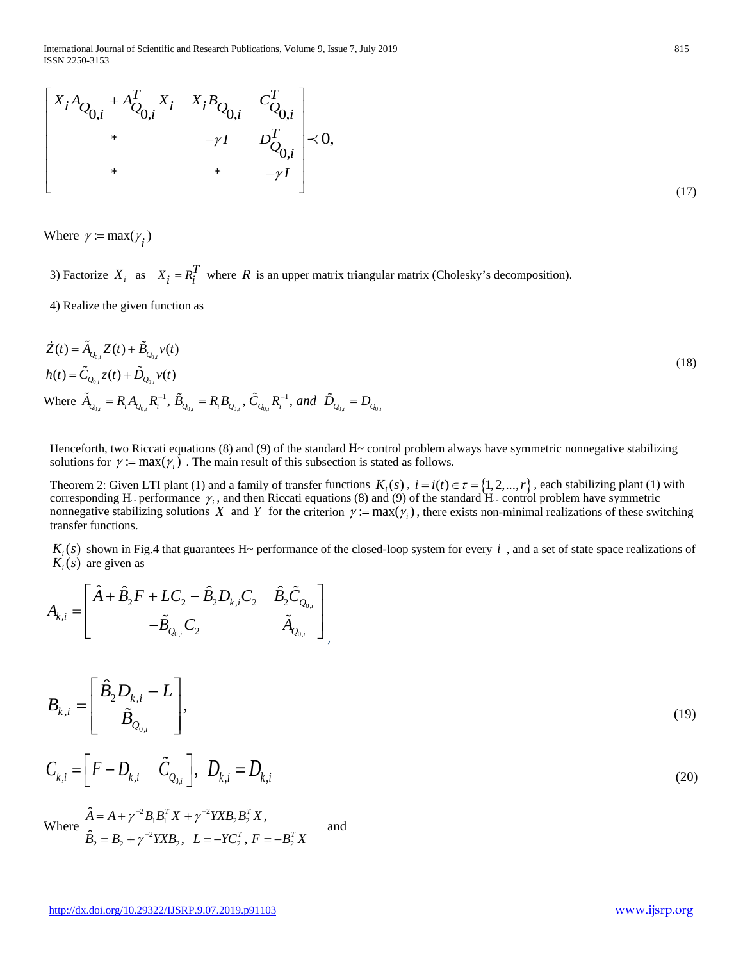International Journal of Scientific and Research Publications, Volume 9, Issue 7, July 2019 815 ISSN 2250-3153

$$
\begin{bmatrix} X_i A_{Q_{0,i}} + A_{Q_{0,i}}^T X_i & X_i B_{Q_{0,i}} & C_{Q_{0,i}}^T \\ * & -\gamma I & D_{Q_{0,i}}^T \\ * & * & -\gamma I \end{bmatrix} \prec 0,
$$
\n(17)

Where  $\gamma = \max(\gamma_i)$ 

3) Factorize  $X_i$  as  $X_i = R_i^T$  where *R* is an upper matrix triangular matrix (Cholesky's decomposition).

4) Realize the given function as

$$
\dot{Z}(t) = \tilde{A}_{Q_{0,i}} Z(t) + \tilde{B}_{Q_{0,i}} v(t)
$$
\n
$$
h(t) = \tilde{C}_{Q_{0,i}} z(t) + \tilde{D}_{Q_{0,i}} v(t)
$$
\nWhere  $\tilde{A}_{Q_{0,i}} = R_i A_{Q_{0,i}} R_i^{-1}, \tilde{B}_{Q_{0,i}} = R_i B_{Q_{0,i}}, \tilde{C}_{Q_{0,i}} R_i^{-1}, and \tilde{D}_{Q_{0,i}} = D_{Q_{0,i}}$ \n(18)

Henceforth, two Riccati equations  $(8)$  and  $(9)$  of the standard H $\sim$  control problem always have symmetric nonnegative stabilizing solutions for  $\gamma := \max(\gamma_i)$ . The main result of this subsection is stated as follows.

Theorem 2: Given LTI plant (1) and a family of transfer functions  $K_i(s)$ ,  $i = i(t) \in \tau = \{1, 2, ..., r\}$ , each stabilizing plant (1) with corresponding H<sub>~</sub> performance  $\gamma_i$ , and then Riccati equations (8) and (9) of the standard H<sub>~</sub> control problem have symmetric nonnegative stabilizing solutions *X* and *Y* for the criterion  $\gamma := \max(\gamma_i)$ , there exists non-minimal realizations of these switching transfer functions.

 $K_i(s)$  shown in Fig.4 that guarantees H~ performance of the closed-loop system for every *i*, and a set of state space realizations of  $K_i(s)$  are given as

$$
A_{k,i} = \begin{bmatrix} \hat{A} + \hat{B}_2 F + LC_2 - \hat{B}_2 D_{k,i} C_2 & \hat{B}_2 \tilde{C}_{Q_{0,i}} \\ -\tilde{B}_{Q_{0,i}} C_2 & \tilde{A}_{Q_{0,i}} \end{bmatrix}
$$

$$
B_{k,i} = \left[\begin{array}{c} \hat{B}_2 D_{k,i} - L \\ \tilde{B}_{Q_{0,i}} \end{array}\right],\tag{19}
$$

,

$$
C_{k,i} = \left[ F - D_{k,i} \quad \tilde{C}_{Q_{0,i}} \right], \ D_{k,i} = D_{k,i}
$$
 (20)

 $^{2}B_{1}B_{1}^{T}X+\gamma ^{-2}YXB_{2}B_{2}^{T}$  $L_2 = B_2 + \gamma^{-2} Y X B_2, \ \ L = -Y C_2^T, \ F = -B_2^T$ 

 $B_2 = B_2 + \gamma^{-2} Y X B_2$ ,  $L = -Y C_2^T$ ,  $F = -B_2^T X$ 

 $T$   $\mathbf{v}$   $\mathbf{v}$   $\mathbf{v}^{-2}$ *v* $\mathbf{v}$ *d*  $\mathbf{p}^{T}$ 

 $= B_2 + \gamma^{-2} Y X B_2, \quad L = -Y C_2^T, \quad F = -B_2^T X$  and

 $T$   $\boldsymbol{E}$   $=$   $\boldsymbol{p}^{T}$ 

 $\hat{A} = A + \gamma^{-2} B_1 B_1^T X + \gamma^{-2} Y X B_2 B_2^T X,$ 

 $A = A + \gamma^{-2} B_1 B_1^T X + \gamma^{-2} Y X B_2 B_2^T X$ 

 $-2$   $\mathbf{p}$   $\mathbf{p}^T$   $\mathbf{v}$   $\mathbf{v}$   $\mathbf{v}$ 

 $\hat{B}_2 = B_2 + \gamma^{-2} Y X B_2, \ \ L = -Y C_2^T,$ 

γ

−  $= A + \gamma^{-2} B_1 B_1^T X +$ 

 $\gamma$   $B_1B_1 X + \gamma$ 

Where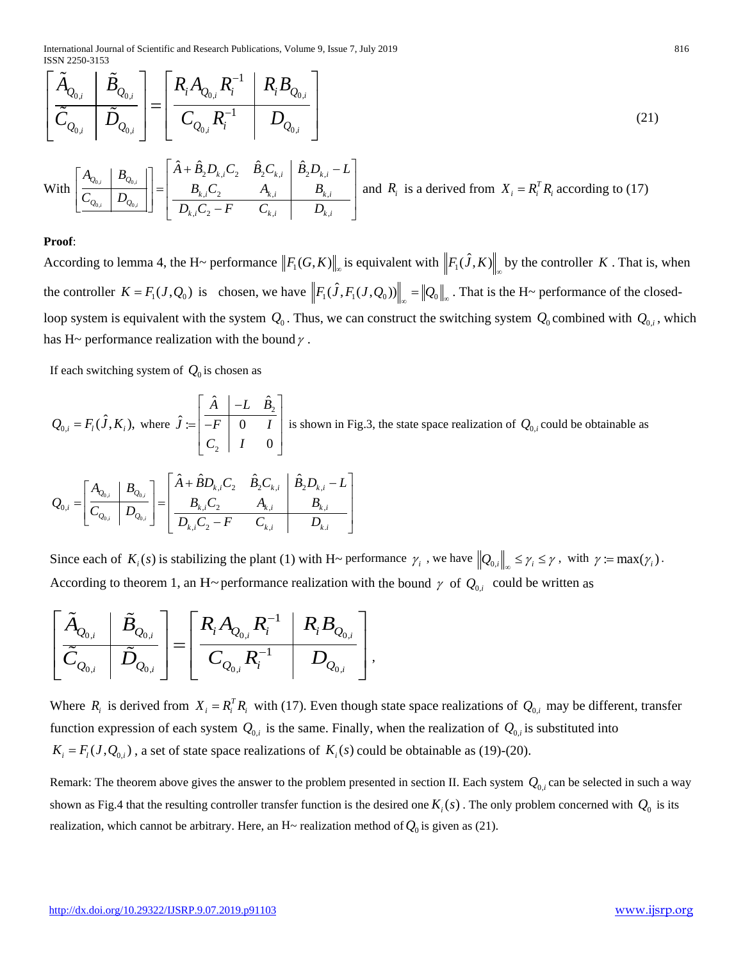International Journal of Scientific and Research Publications, Volume 9, Issue 7, July 2019 816 ISSN 2250-3153

$$
\left[\begin{array}{c|c}\n\tilde{A}_{Q_{0,i}} & \tilde{B}_{Q_{0,i}} \\
\hline\n\tilde{C}_{Q_{0,i}} & \tilde{D}_{Q_{0,i}}\n\end{array}\right] = \left[\begin{array}{c|c}\nR_i A_{Q_{0,i}} R_i^{-1} & R_i B_{Q_{0,i}} \\
\hline\nC_{Q_{0,i}} R_i^{-1} & D_{Q_{0,i}}\n\end{array}\right]
$$
\n(21)

With 
$$
\left[\begin{array}{c|c}\nA_{Q_{0,i}} & B_{Q_{0,i}} \\
\hline\nC_{Q_{0,i}} & D_{Q_{0,i}}\n\end{array}\right] = \left[\begin{array}{cc|c}\n\hat{A} + \hat{B}_2 D_{k,i} C_2 & \hat{B}_2 C_{k,i} & \hat{B}_2 D_{k,i} - L \\
B_{k,i} C_2 & A_{k,i} & B_{k,i} \\
\hline\nD_{k,i} C_2 - F & C_{k,i} & D_{k,i}\n\end{array}\right]
$$
 and  $R_i$  is a derived from  $X_i = R_i^T R_i$  according to (17)

#### **Proof**:

According to lemma 4, the H~ performance  $||F_1(G,K)||_{\infty}$  is equivalent with  $||F_1(\hat{J},K)||_{\infty}$  by the controller *K*. That is, when the controller  $K = F_1(J, Q_0)$  is chosen, we have  $||F_1(\hat{J}, F_1(J, Q_0))||_{\infty} = ||Q_0||_{\infty}$ . That is the H~ performance of the closedloop system is equivalent with the system  $Q_0$ . Thus, we can construct the switching system  $Q_0$  combined with  $Q_{0,i}$ , which has H~ performance realization with the bound  $\gamma$ .

If each switching system of  $Q_0$  is chosen as

$$
Q_{0,i} = F_i(\hat{J}, K_i), \text{ where } \hat{J} := \begin{bmatrix} \hat{A} & -L & \hat{B}_2 \\ \overline{-F} & 0 & I \\ C_2 & I & 0 \end{bmatrix} \text{ is shown in Fig.3, the state space realization of } Q_{0,i} \text{ could be obtainable as}
$$
  

$$
Q_{0,i} = \begin{bmatrix} A_{Q_{0,i}} & B_{Q_{0,i}} \\ \overline{C_{Q_{0,i}}} & D_{Q_{0,i}} \end{bmatrix} = \begin{bmatrix} \hat{A} + \hat{B}D_{k,i}C_2 & \hat{B}_2C_{k,i} & \hat{B}_2D_{k,i} - L \\ \overline{D_{k,i}C_2} & A_{k,i} & B_{k,i} \\ \overline{D_{k,i}C_2} - F & C_{k,i} & D_{k,i} \end{bmatrix}
$$

Since each of  $K_i(s)$  is stabilizing the plant (1) with H~ performance  $\gamma_i$ , we have  $||Q_{0,i}||_{\infty} \leq \gamma_i \leq \gamma$ , with  $\gamma := \max(\gamma_i)$ . According to theorem 1, an H~performance realization with the bound  $\gamma$  of  $Q_{0,i}$  could be written as

$$
\left[\begin{array}{c|c}\tilde{A}_{\overline{Q}_{0,i}} & \tilde{B}_{\overline{Q}_{0,i}} \\ \hline \tilde{C}_{\overline{Q}_{0,i}} & \tilde{D}_{\overline{Q}_{0,i}}\end{array}\right] = \left[\begin{array}{c|c} R_{i}A_{\overline{Q}_{0,i}}R_{i}^{-1} & R_{i}B_{\overline{Q}_{0,i}} \\ \hline C_{\overline{Q}_{0,i}}R_{i}^{-1} & D_{\overline{Q}_{0,i}}\end{array}\right],
$$

Where  $R_i$  is derived from  $X_i = R_i^T R_i$  with (17). Even though state space realizations of  $Q_{0,i}$  may be different, transfer function expression of each system  $Q_{0,i}$  is the same. Finally, when the realization of  $Q_{0,i}$  is substituted into  $K_i = F_i(J, Q_{0,i})$ , a set of state space realizations of  $K_i(s)$  could be obtainable as (19)-(20).

Remark: The theorem above gives the answer to the problem presented in section II. Each system  $Q_{0,i}$  can be selected in such a way shown as Fig.4 that the resulting controller transfer function is the desired one  $K_i(s)$ . The only problem concerned with  $Q_0$  is its realization, which cannot be arbitrary. Here, an H~ realization method of  $Q_0$  is given as (21).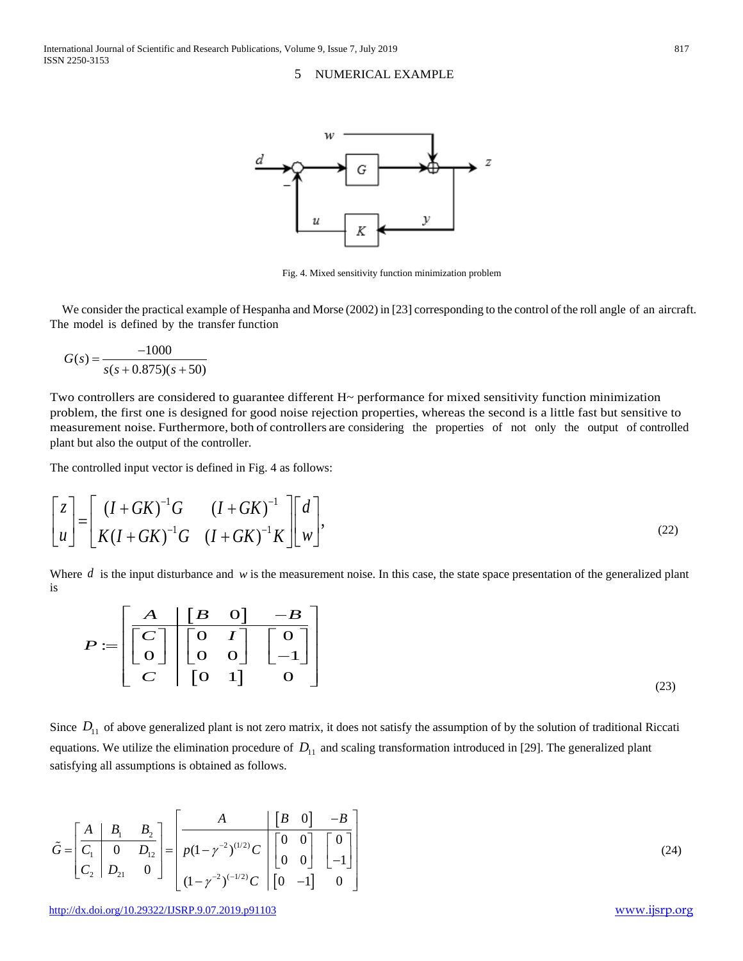### 5 NUMERICAL EXAMPLE



Fig. 4. Mixed sensitivity function minimization problem

We consider the practical example of Hespanha and Morse (2002) in [23] corresponding to the control of the roll angle of an aircraft. The model is defined by the transfer function

$$
G(s) = \frac{-1000}{s(s + 0.875)(s + 50)}
$$

Two controllers are considered to guarantee different  $H<sub>></sub>$  performance for mixed sensitivity function minimization problem, the first one is designed for good noise rejection properties, whereas the second is a little fast but sensitive to measurement noise. Furthermore, both of controllers are considering the properties of not only the output of controlled plant but also the output of the controller.

The controlled input vector is defined in Fig. 4 as follows:

$$
\begin{bmatrix} z \\ u \end{bmatrix} = \begin{bmatrix} (I+GK)^{-1}G & (I+GK)^{-1} \\ K(I+GK)^{-1}G & (I+GK)^{-1}K \end{bmatrix} \begin{bmatrix} d \\ w \end{bmatrix},
$$
\n(22)

Where  $d$  is the input disturbance and  $w$  is the measurement noise. In this case, the state space presentation of the generalized plant is

$$
P := \begin{bmatrix} A & B & 0 & -B \\ \hline C \\ 0 & 0 & 0 \\ C & 0 & 0 \end{bmatrix} \begin{bmatrix} 0 & I \\ -1 \end{bmatrix}
$$
  

$$
C \qquad (23)
$$

Since  $D_{11}$  of above generalized plant is not zero matrix, it does not satisfy the assumption of by the solution of traditional Riccati equations. We utilize the elimination procedure of  $D_{11}$  and scaling transformation introduced in [29]. The generalized plant satisfying all assumptions is obtained as follows.

$$
\tilde{G} = \begin{bmatrix} A & B_1 & B_2 \\ \hline C_1 & 0 & D_{12} \\ C_2 & D_{21} & 0 \end{bmatrix} = \begin{bmatrix} A & \begin{bmatrix} B & 0 \end{bmatrix} & -B \\ \hline p(1 - \gamma^{-2})^{(1/2)} C & \begin{bmatrix} 0 & 0 \\ 0 & 0 \end{bmatrix} & \begin{bmatrix} 0 \\ -1 \end{bmatrix} \\ (1 - \gamma^{-2})^{(-1/2)} C & \begin{bmatrix} 0 & -1 \end{bmatrix} & 0 \end{bmatrix}
$$
\n(24)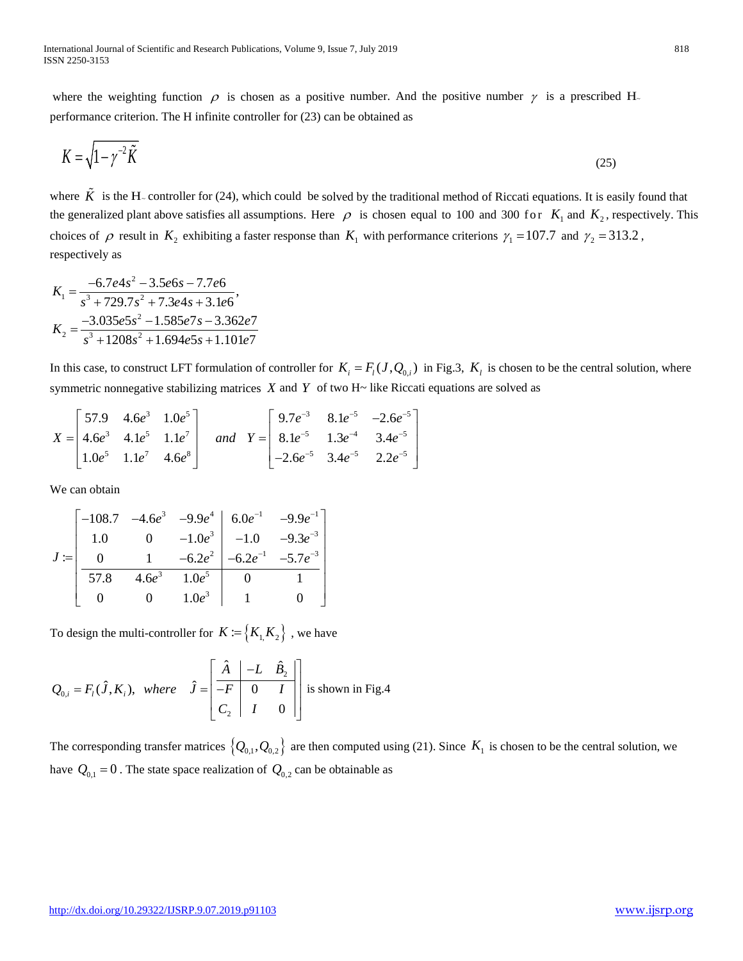where the weighting function  $\rho$  is chosen as a positive number. And the positive number  $\gamma$  is a prescribed H. performance criterion. The H infinite controller for (23) can be obtained as

$$
K = \sqrt{1 - \gamma^{-2}\tilde{K}}
$$
 (25)

where  $\tilde{K}$  is the H<sub>r</sub> controller for (24), which could be solved by the traditional method of Riccati equations. It is easily found that the generalized plant above satisfies all assumptions. Here  $\rho$  is chosen equal to 100 and 300 for  $K_1$  and  $K_2$ , respectively. This choices of  $\rho$  result in  $K_2$  exhibiting a faster response than  $K_1$  with performance criterions  $\gamma_1 = 107.7$  and  $\gamma_2 = 313.2$ , respectively as

$$
K_1 = \frac{-6.7e4s^2 - 3.5e6s - 7.7e6}{s^3 + 729.7s^2 + 7.3e4s + 3.1e6}
$$
\n
$$
K_2 = \frac{-3.035e5s^2 - 1.585e7s - 3.362e7}{s^3 + 1208s^2 + 1.694e5s + 1.101e7}
$$

In this case, to construct LFT formulation of controller for  $K_i = F_i(J, Q_{0,i})$  in Fig.3,  $K_i$  is chosen to be the central solution, where symmetric nonnegative stabilizing matrices *X* and *Y* of two H~ like Riccati equations are solved as

$$
X = \begin{bmatrix} 57.9 & 4.6e^3 & 1.0e^5 \\ 4.6e^3 & 4.1e^5 & 1.1e^7 \\ 1.0e^5 & 1.1e^7 & 4.6e^8 \end{bmatrix} \text{ and } Y = \begin{bmatrix} 9.7e^{-3} & 8.1e^{-5} & -2.6e^{-5} \\ 8.1e^{-5} & 1.3e^{-4} & 3.4e^{-5} \\ -2.6e^{-5} & 3.4e^{-5} & 2.2e^{-5} \end{bmatrix}
$$

We can obtain

$$
J := \begin{bmatrix} -108.7 & -4.6e^3 & -9.9e^4 & 6.0e^{-1} & -9.9e^{-1} \\ 1.0 & 0 & -1.0e^3 & -1.0 & -9.3e^{-3} \\ 0 & 1 & -6.2e^2 & -6.2e^{-1} & -5.7e^{-3} \\ \hline 57.8 & 4.6e^3 & 1.0e^5 & 0 & 1 \\ 0 & 0 & 1.0e^3 & 1 & 0 \end{bmatrix}
$$

To design the multi-controller for  $K := \{K_1, K_2\}$ , we have

$$
Q_{0,i} = F_i(\hat{J}, K_i), \text{ where } \hat{J} = \begin{bmatrix} \hat{A} & -L & \hat{B}_2 \\ \overline{-F} & 0 & I \\ C_2 & I & 0 \end{bmatrix} \text{ is shown in Fig.4}
$$

The corresponding transfer matrices  $\{Q_{0,1}, Q_{0,2}\}\$ are then computed using (21). Since  $K_1$  is chosen to be the central solution, we have  $Q_{0,1} = 0$ . The state space realization of  $Q_{0,2}$  can be obtainable as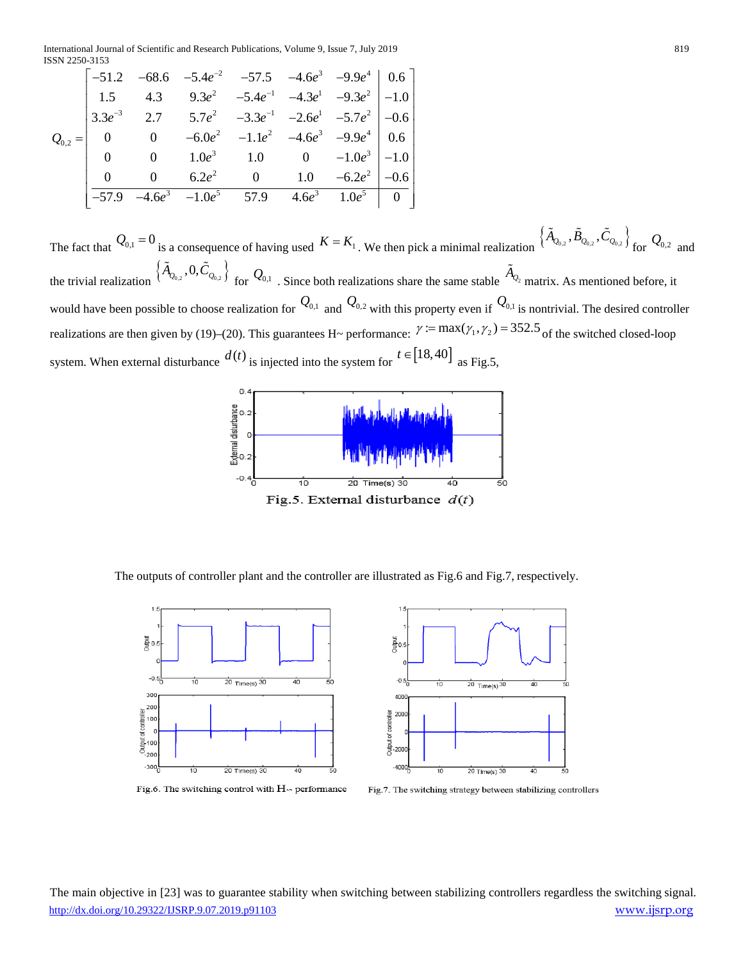International Journal of Scientific and Research Publications, Volume 9, Issue 7, July 2019 819 ISSN 2250-3153

$$
Q_{0,2} = \begin{bmatrix}\n-51.2 & -68.6 & -5.4e^{-2} & -57.5 & -4.6e^{3} & -9.9e^{4} & 0.6 \\
1.5 & 4.3 & 9.3e^{2} & -5.4e^{-1} & -4.3e^{1} & -9.3e^{2} & -1.0 \\
3.3e^{-3} & 2.7 & 5.7e^{2} & -3.3e^{-1} & -2.6e^{1} & -5.7e^{2} & -0.6 \\
0 & 0 & -6.0e^{2} & -1.1e^{2} & -4.6e^{3} & -9.9e^{4} & 0.6 \\
0 & 0 & 1.0e^{3} & 1.0 & 0 & -1.0e^{3} & -1.0 \\
\frac{0}{-57.9} & -4.6e^{3} & -1.0e^{5} & 57.9 & 4.6e^{3} & 1.0e^{5} & 0\n\end{bmatrix}
$$

The fact that  $Q_{0,1} = 0$  is a consequence of having used  $K = K_1$ . We then pick a minimal realization  $\left\{ \tilde{A}_{Q_{0,2}}, \tilde{B}_{Q_{0,2}}, \tilde{C}_{Q_{0,2}} \right\}$  for  $Q_{0,2}$  and the trivial realization  $\left\{ \tilde{A}_{Q_{0,2}}, 0, \tilde{C}_{Q_{0,2}} \right\}$  for  $Q_{0,1}$  . Since both realizations share the same stable  $\tilde{A}_{Q_2}$  matrix. As mentioned before, it would have been possible to choose realization for  $\mathcal{Q}_{0,1}$  and  $\mathcal{Q}_{0,2}$  with this property even if  $\mathcal{Q}_{0,1}$  is nontrivial. The desired controller realizations are then given by (19)–(20). This guarantees H~ performance:  $\gamma := \max(\gamma_1, \gamma_2) = 352.5$  of the switched closed-loop system. When external disturbance  $d(t)$  is injected into the system for  $t \in [18, 40]$  as Fig.5,



The outputs of controller plant and the controller are illustrated as Fig.6 and Fig.7, respectively.



Fig.6. The switching control with  $H_{\backsim}$  performance



Fig.7. The switching strategy between stabilizing controllers

<http://dx.doi.org/10.29322/IJSRP.9.07.2019.p91103> [www.ijsrp.org](http://ijsrp.org/) The main objective in [23] was to guarantee stability when switching between stabilizing controllers regardless the switching signal.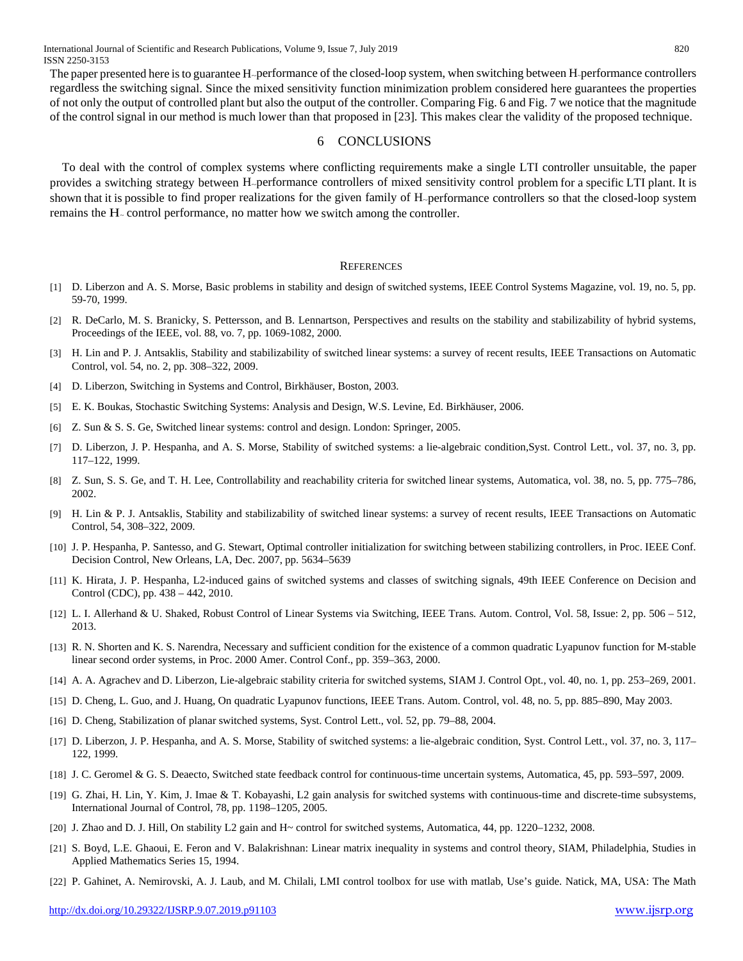The paper presented here is to guarantee H~performance of the closed-loop system, when switching between H-performance controllers regardless the switching signal. Since the mixed sensitivity function minimization problem considered here guarantees the properties of not only the output of controlled plant but also the output of the controller. Comparing Fig. 6 and Fig. 7 we notice that the magnitude of the control signal in our method is much lower than that proposed in [23]. This makes clear the validity of the proposed technique.

### 6 CONCLUSIONS

To deal with the control of complex systems where conflicting requirements make a single LTI controller unsuitable, the paper provides a switching strategy between H~performance controllers of mixed sensitivity control problem for a specific LTI plant. It is shown that it is possible to find proper realizations for the given family of H~performance controllers so that the closed-loop system remains the H<sub>-</sub> control performance, no matter how we switch among the controller.

#### **REFERENCES**

- [1] D. Liberzon and A. S. Morse, Basic problems in stability and design of switched systems, IEEE Control Systems Magazine, vol. 19, no. 5, pp. 59-70, 1999.
- [2] R. DeCarlo, M. S. Branicky, S. Pettersson, and B. Lennartson, Perspectives and results on the stability and stabilizability of hybrid systems, Proceedings of the IEEE, vol. 88, vo. 7, pp. 1069-1082, 2000.
- [3] H. Lin and P. J. Antsaklis, Stability and stabilizability of switched linear systems: a survey of recent results, IEEE Transactions on Automatic Control, vol. 54, no. 2, pp. 308–322, 2009.
- [4] D. Liberzon, Switching in Systems and Control, Birkhäuser, Boston, 2003.
- [5] E. K. Boukas, Stochastic Switching Systems: Analysis and Design, W.S. Levine, Ed. Birkhäuser, 2006.
- [6] Z. Sun & S. S. Ge, Switched linear systems: control and design. London: Springer, 2005.
- [7] D. Liberzon, J. P. Hespanha, and A. S. Morse, Stability of switched systems: a lie-algebraic condition,Syst. Control Lett., vol. 37, no. 3, pp. 117–122, 1999.
- [8] Z. Sun, S. S. Ge, and T. H. Lee, Controllability and reachability criteria for switched linear systems, Automatica, vol. 38, no. 5, pp. 775–786, 2002.
- [9] H. Lin & P. J. Antsaklis, Stability and stabilizability of switched linear systems: a survey of recent results, IEEE Transactions on Automatic Control, 54, 308–322, 2009.
- [10] J. P. Hespanha, P. Santesso, and G. Stewart, Optimal controller initialization for switching between stabilizing controllers, in Proc. IEEE Conf. Decision Control, New Orleans, LA, Dec. 2007, pp. 5634–5639
- [11] K. Hirata, J. P. Hespanha, L2-induced gains of switched systems and classes of switching signals, 49th IEEE Conference on Decision and Control (CDC), pp. 438 – 442, 2010.
- [12] L. I. Allerhand & U. Shaked, Robust Control of Linear Systems via Switching, IEEE Trans. Autom. Control, Vol. 58, Issue: 2, pp. 506 512, 2013.
- [13] R. N. Shorten and K. S. Narendra, Necessary and sufficient condition for the existence of a common quadratic Lyapunov function for M-stable linear second order systems, in Proc. 2000 Amer. Control Conf., pp. 359–363, 2000.
- [14] A. A. Agrachev and D. Liberzon, Lie-algebraic stability criteria for switched systems, SIAM J. Control Opt., vol. 40, no. 1, pp. 253–269, 2001.
- [15] D. Cheng, L. Guo, and J. Huang, On quadratic Lyapunov functions, IEEE Trans. Autom. Control, vol. 48, no. 5, pp. 885–890, May 2003.
- [16] D. Cheng, Stabilization of planar switched systems, Syst. Control Lett., vol. 52, pp. 79–88, 2004.
- [17] D. Liberzon, J. P. Hespanha, and A. S. Morse, Stability of switched systems: a lie-algebraic condition, Syst. Control Lett., vol. 37, no. 3, 117– 122, 1999.
- [18] J. C. Geromel & G. S. Deaecto, Switched state feedback control for continuous-time uncertain systems, Automatica, 45, pp. 593–597, 2009.
- [19] G. Zhai, H. Lin, Y. Kim, J. Imae & T. Kobayashi, L2 gain analysis for switched systems with continuous-time and discrete-time subsystems, International Journal of Control, 78, pp. 1198–1205, 2005.
- [20] J. Zhao and D. J. Hill, On stability L2 gain and H~ control for switched systems, Automatica, 44, pp. 1220–1232, 2008.
- [21] S. Boyd, L.E. Ghaoui, E. Feron and V. Balakrishnan: Linear matrix inequality in systems and control theory, SIAM, Philadelphia, Studies in Applied Mathematics Series 15, 1994.
- [22] P. Gahinet, A. Nemirovski, A. J. Laub, and M. Chilali, LMI control toolbox for use with matlab, Use's guide. Natick, MA, USA: The Math